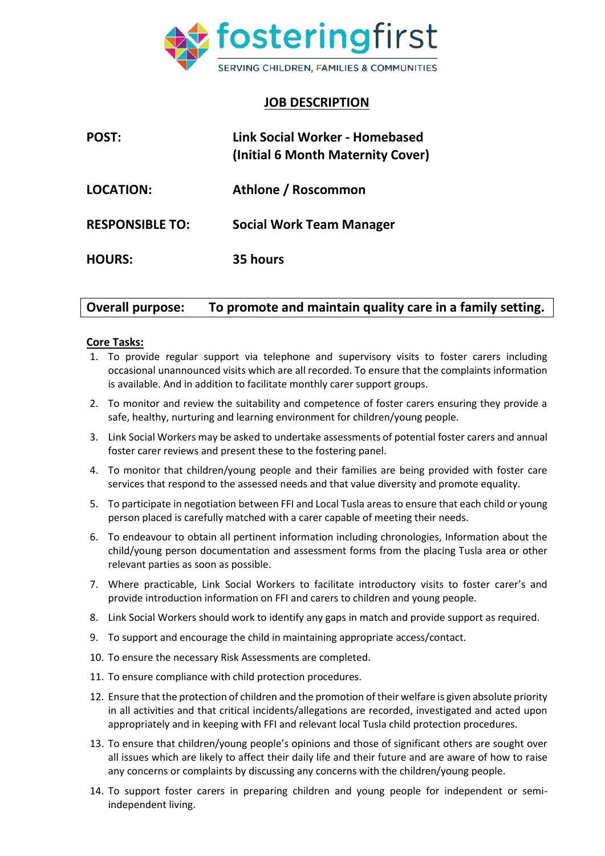

## **JOB DESCRIPTION**

| <b>POST:</b>           | Link Social Worker - Homebased<br>(Initial 6 Month Maternity Cover) |
|------------------------|---------------------------------------------------------------------|
| <b>LOCATION:</b>       | Athlone / Roscommon                                                 |
| <b>RESPONSIBLE TO:</b> | <b>Social Work Team Manager</b>                                     |
| <b>HOURS:</b>          | 35 hours                                                            |

# **Overall purpose: To promote and maintain quality care in a family setting.**

## **Core Tasks:**

- 1. To provide regular support via telephone and supervisory visits to foster carers including occasional unannounced visits which are all recorded. To ensure that the complaints information is available. And in addition to facilitate monthly carer support groups.
- 2. To monitor and review the suitability and competence of foster carers ensuring they provide a safe, healthy, nurturing and learning environment for children/young people.
- 3. Link Social Workers may be asked to undertake assessments of potential foster carers and annual foster carer reviews and present these to the fostering panel.
- 4. To monitor that children/young people and their families are being provided with foster care services that respond to the assessed needs and that value diversity and promote equality.
- 5. To participate in negotiation between FFI and Local Tusla areas to ensure that each child or young person placed is carefully matched with a carer capable of meeting their needs.
- 6. To endeavour to obtain all pertinent information including chronologies, Information about the child/young person documentation and assessment forms from the placing Tusla area or other relevant parties as soon as possible.
- 7. Where practicable, Link Social Workers to facilitate introductory visits to foster carer's and provide introduction information on FFI and carers to children and young people.
- 8. Link Social Workers should work to identify any gaps in match and provide support as required.
- 9. To support and encourage the child in maintaining appropriate access/contact.
- 10. To ensure the necessary Risk Assessments are completed.
- 11. To ensure compliance with child protection procedures.
- 12. Ensure that the protection of children and the promotion of their welfare is given absolute priority in all activities and that critical incidents/allegations are recorded, investigated and acted upon appropriately and in keeping with FFI and relevant local Tusla child protection procedures.
- 13. To ensure that children/young people's opinions and those of significant others are sought over all issues which are likely to affect their daily life and their future and are aware of how to raise any concerns or complaints by discussing any concerns with the children/young people.
- 14. To support foster carers in preparing children and young people for independent or semiindependent living.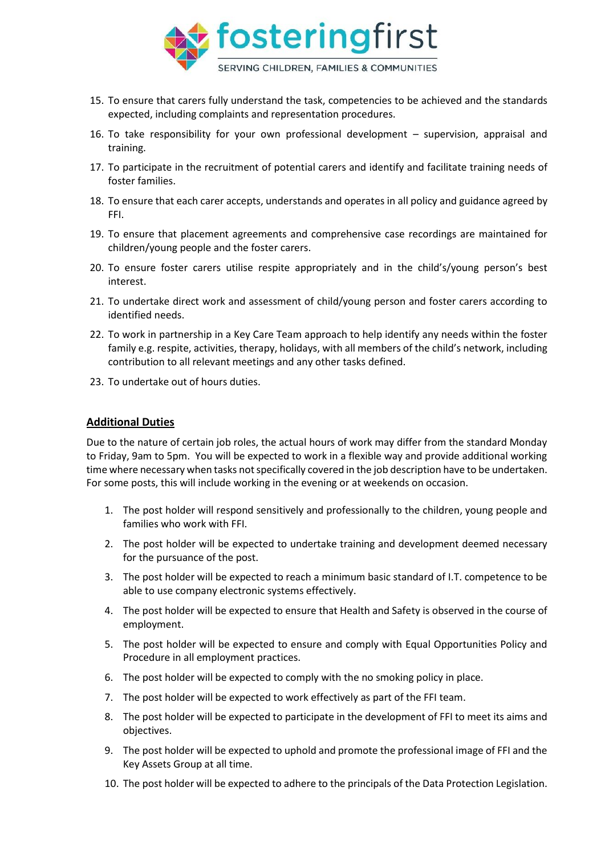

- 15. To ensure that carers fully understand the task, competencies to be achieved and the standards expected, including complaints and representation procedures.
- 16. To take responsibility for your own professional development supervision, appraisal and training.
- 17. To participate in the recruitment of potential carers and identify and facilitate training needs of foster families.
- 18. To ensure that each carer accepts, understands and operates in all policy and guidance agreed by FFI.
- 19. To ensure that placement agreements and comprehensive case recordings are maintained for children/young people and the foster carers.
- 20. To ensure foster carers utilise respite appropriately and in the child's/young person's best interest.
- 21. To undertake direct work and assessment of child/young person and foster carers according to identified needs.
- 22. To work in partnership in a Key Care Team approach to help identify any needs within the foster family e.g. respite, activities, therapy, holidays, with all members of the child's network, including contribution to all relevant meetings and any other tasks defined.
- 23. To undertake out of hours duties.

### **Additional Duties**

Due to the nature of certain job roles, the actual hours of work may differ from the standard Monday to Friday, 9am to 5pm. You will be expected to work in a flexible way and provide additional working time where necessary when tasks not specifically covered in the job description have to be undertaken. For some posts, this will include working in the evening or at weekends on occasion.

- 1. The post holder will respond sensitively and professionally to the children, young people and families who work with FFI.
- 2. The post holder will be expected to undertake training and development deemed necessary for the pursuance of the post.
- 3. The post holder will be expected to reach a minimum basic standard of I.T. competence to be able to use company electronic systems effectively.
- 4. The post holder will be expected to ensure that Health and Safety is observed in the course of employment.
- 5. The post holder will be expected to ensure and comply with Equal Opportunities Policy and Procedure in all employment practices.
- 6. The post holder will be expected to comply with the no smoking policy in place.
- 7. The post holder will be expected to work effectively as part of the FFI team.
- 8. The post holder will be expected to participate in the development of FFI to meet its aims and objectives.
- 9. The post holder will be expected to uphold and promote the professional image of FFI and the Key Assets Group at all time.
- 10. The post holder will be expected to adhere to the principals of the Data Protection Legislation.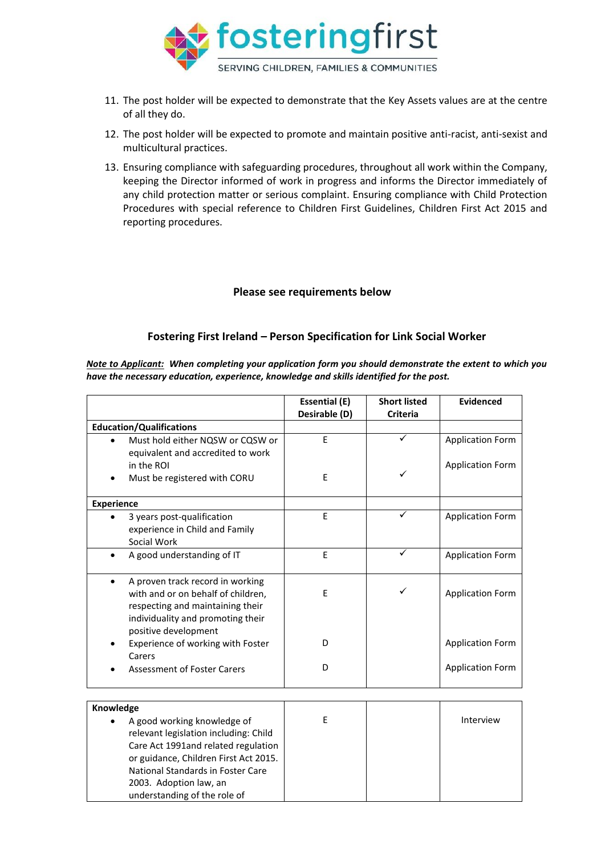

- 11. The post holder will be expected to demonstrate that the Key Assets values are at the centre of all they do.
- 12. The post holder will be expected to promote and maintain positive anti-racist, anti-sexist and multicultural practices.
- 13. Ensuring compliance with safeguarding procedures, throughout all work within the Company, keeping the Director informed of work in progress and informs the Director immediately of any child protection matter or serious complaint. Ensuring compliance with Child Protection Procedures with special reference to Children First Guidelines, Children First Act 2015 and reporting procedures.

#### **Please see requirements below**

## **Fostering First Ireland – Person Specification for Link Social Worker**

*Note to Applicant: When completing your application form you should demonstrate the extent to which you have the necessary education, experience, knowledge and skills identified for the post.*

|                                               | <b>Essential (E)</b><br>Desirable (D) | <b>Short listed</b><br><b>Criteria</b> | <b>Evidenced</b>        |
|-----------------------------------------------|---------------------------------------|----------------------------------------|-------------------------|
| <b>Education/Qualifications</b>               |                                       |                                        |                         |
| Must hold either NQSW or CQSW or              | E                                     |                                        | <b>Application Form</b> |
| equivalent and accredited to work             |                                       |                                        |                         |
| in the ROI                                    |                                       |                                        | <b>Application Form</b> |
| Must be registered with CORU                  | E                                     | ✓                                      |                         |
| <b>Experience</b>                             |                                       |                                        |                         |
| 3 years post-qualification                    | E                                     | ✓                                      | <b>Application Form</b> |
| experience in Child and Family                |                                       |                                        |                         |
| Social Work                                   |                                       |                                        |                         |
| A good understanding of IT<br>$\bullet$       | E                                     | ✓                                      | <b>Application Form</b> |
| A proven track record in working<br>$\bullet$ |                                       |                                        |                         |
| with and or on behalf of children,            | E                                     | ✓                                      | <b>Application Form</b> |
| respecting and maintaining their              |                                       |                                        |                         |
| individuality and promoting their             |                                       |                                        |                         |
| positive development                          |                                       |                                        |                         |
| Experience of working with Foster             | D                                     |                                        | <b>Application Form</b> |
| Carers                                        | D                                     |                                        |                         |
| <b>Assessment of Foster Carers</b>            |                                       |                                        | <b>Application Form</b> |
|                                               |                                       |                                        |                         |
| Knowledge                                     |                                       |                                        |                         |
| A good working knowledge of                   | E                                     |                                        | Interview               |
| relevant legislation including: Child         |                                       |                                        |                         |
| Care Act 1991and related regulation           |                                       |                                        |                         |
| or guidance, Children First Act 2015.         |                                       |                                        |                         |
| National Standards in Foster Care             |                                       |                                        |                         |
| 2003. Adoption law, an                        |                                       |                                        |                         |

understanding of the role of